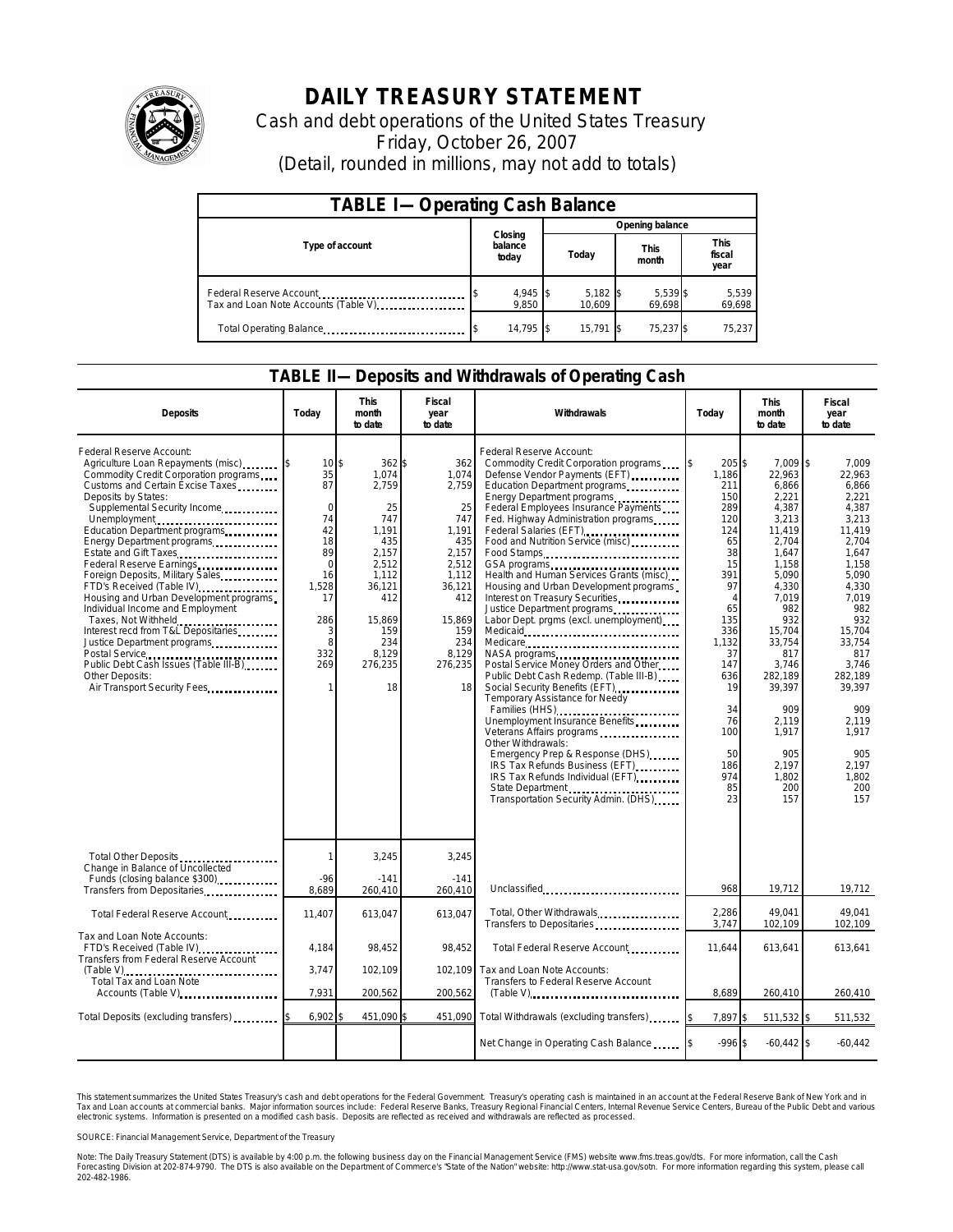

## **DAILY TREASURY STATEMENT**

Cash and debt operations of the United States Treasury Friday, October 26, 2007 (Detail, rounded in millions, may not add to totals)

| <b>TABLE I-Operating Cash Balance</b>                           |                             |                      |                      |                               |  |  |  |  |
|-----------------------------------------------------------------|-----------------------------|----------------------|----------------------|-------------------------------|--|--|--|--|
|                                                                 |                             | Opening balance      |                      |                               |  |  |  |  |
| Type of account                                                 | Closing<br>balance<br>today | Today                | <b>This</b><br>month | <b>This</b><br>fiscal<br>year |  |  |  |  |
| Federal Reserve Account<br>Tax and Loan Note Accounts (Table V) | 4,945<br>9.850              | $5,182$ \$<br>10.609 | 5,539 \$<br>69.698   | 5,539<br>69,698               |  |  |  |  |
| Total Operating Balance                                         | 14.795                      | 15.791               | 75,237 \$            | 75,237                        |  |  |  |  |

## **TABLE II—Deposits and Withdrawals of Operating Cash**

| <b>Deposits</b>                                                                                                                                                                                                                                                                                                                                                                                                                                                                                                                                                                                                                                                                                  | Todav                                                                                                                   | <b>This</b><br>month<br>to date                                                                                                                             | Fiscal<br>year<br>to date                                                                                                                        | Withdrawals                                                                                                                                                                                                                                                                                                                                                                                                                                                                                                                                                                                                                                                                                                                                                                                                                                                                                                                                                                                        | <b>This</b><br>Today<br>month<br>to date                                                                                                                                                                      |                                                                                                                                                                                                                                                               | Fiscal<br>year<br>to date                                                                                                                                                                                                                                  |
|--------------------------------------------------------------------------------------------------------------------------------------------------------------------------------------------------------------------------------------------------------------------------------------------------------------------------------------------------------------------------------------------------------------------------------------------------------------------------------------------------------------------------------------------------------------------------------------------------------------------------------------------------------------------------------------------------|-------------------------------------------------------------------------------------------------------------------------|-------------------------------------------------------------------------------------------------------------------------------------------------------------|--------------------------------------------------------------------------------------------------------------------------------------------------|----------------------------------------------------------------------------------------------------------------------------------------------------------------------------------------------------------------------------------------------------------------------------------------------------------------------------------------------------------------------------------------------------------------------------------------------------------------------------------------------------------------------------------------------------------------------------------------------------------------------------------------------------------------------------------------------------------------------------------------------------------------------------------------------------------------------------------------------------------------------------------------------------------------------------------------------------------------------------------------------------|---------------------------------------------------------------------------------------------------------------------------------------------------------------------------------------------------------------|---------------------------------------------------------------------------------------------------------------------------------------------------------------------------------------------------------------------------------------------------------------|------------------------------------------------------------------------------------------------------------------------------------------------------------------------------------------------------------------------------------------------------------|
| Federal Reserve Account:<br>Agriculture Loan Repayments (misc)<br>Commodity Credit Corporation programs<br>Customs and Certain Excise Taxes<br>Deposits by States:<br>Supplemental Security Income<br>Unemployment<br>Education Department programs<br>Energy Department programs<br>Estate and Gift Taxes<br>Federal Reserve Earnings.<br>Foreign Deposits, Military Sales<br>FTD's Received (Table IV)<br>Housing and Urban Development programs<br>Individual Income and Employment<br>Taxes, Not Withheld<br>Interest recd from T&L Depositaries<br>Justice Department programs<br>Postal Service<br>Public Debt Cash Issues (Table III-B)<br>Other Deposits:<br>Air Transport Security Fees | 10<br>35<br>87<br>$\Omega$<br>74<br>42<br>18<br>89<br>$\Omega$<br>16<br>1,528<br>17<br>286<br>3<br>8<br>332<br>269<br>1 | $362$ \$<br>\$<br>1.074<br>2,759<br>25<br>747<br>1,191<br>435<br>2,157<br>2,512<br>1,112<br>36,121<br>412<br>15,869<br>159<br>234<br>8,129<br>276,235<br>18 | 362<br>1,074<br>2,759<br>25<br>747<br>1,191<br>435<br>2,157<br>2,512<br>1,112<br>36,121<br>412<br>15,869<br>159<br>234<br>8,129<br>276,235<br>18 | Federal Reserve Account:<br>Commodity Credit Corporation programs<br>Defense Vendor Payments (EFT)<br>Education Department programs<br>Energy Department programs<br>Federal Employees Insurance Payments<br>Fed. Highway Administration programs<br>Federal Salaries (EFT)<br>Food and Nutrition Service (misc)<br>Food Stamps<br>Health and Human Services Grants (misc)<br>Housing and Urban Development programs<br>Interest on Treasury Securities<br>Justice Department programs<br>Labor Dept. prgms (excl. unemployment).<br>Medicare<br>NASA programs<br>Postal Service Money Orders and Other<br>Public Debt Cash Redemp. (Table III-B)<br>Social Security Benefits (EFT)<br>Temporary Assistance for Needy<br>Families (HHS)<br>Unemployment Insurance Benefits<br>Veterans Affairs programs<br>Other Withdrawals:<br>Emergency Prep & Response (DHS)<br>IRS Tax Refunds Business (EFT)<br>IRS Tax Refunds Individual (EFT)<br>State Department<br>Transportation Security Admin. (DHS) | 205\$<br>l\$<br>1,186<br>211<br>150<br>289<br>120<br>124<br>65<br>38<br>15<br>391<br>97<br>$\Delta$<br>65<br>135<br>336<br>1,132<br>37<br>147<br>636<br>19<br>34<br>76<br>100<br>50<br>186<br>974<br>85<br>23 | 7,009 \$<br>22,963<br>6,866<br>2,221<br>4,387<br>3,213<br>11,419<br>2,704<br>1,647<br>1.158<br>5,090<br>4,330<br>7,019<br>982<br>932<br>15,704<br>33,754<br>817<br>3,746<br>282,189<br>39,397<br>909<br>2,119<br>1,917<br>905<br>2,197<br>1,802<br>200<br>157 | 7,009<br>22,963<br>6,866<br>2.221<br>4,387<br>3,213<br>11,419<br>2,704<br>1.647<br>1,158<br>5.090<br>4,330<br>7,019<br>982<br>932<br>15,704<br>33,754<br>817<br>3,746<br>282,189<br>39,397<br>909<br>2,119<br>1,917<br>905<br>2,197<br>1,802<br>200<br>157 |
| Total Other Deposits<br>Change in Balance of Uncollected<br>Funds (closing balance \$300)<br>Transfers from Depositaries<br>                                                                                                                                                                                                                                                                                                                                                                                                                                                                                                                                                                     | 1<br>$-96$<br>8.689                                                                                                     | 3,245<br>$-141$<br>260,410                                                                                                                                  | 3,245<br>$-141$<br>260.410                                                                                                                       | Unclassified                                                                                                                                                                                                                                                                                                                                                                                                                                                                                                                                                                                                                                                                                                                                                                                                                                                                                                                                                                                       | 968                                                                                                                                                                                                           | 19,712                                                                                                                                                                                                                                                        | 19,712                                                                                                                                                                                                                                                     |
| Total Federal Reserve Account                                                                                                                                                                                                                                                                                                                                                                                                                                                                                                                                                                                                                                                                    | 11,407                                                                                                                  | 613,047                                                                                                                                                     | 613,047                                                                                                                                          | Total, Other Withdrawals<br>Transfers to Depositaries                                                                                                                                                                                                                                                                                                                                                                                                                                                                                                                                                                                                                                                                                                                                                                                                                                                                                                                                              | 2,286<br>3,747                                                                                                                                                                                                | 49.041<br>102,109                                                                                                                                                                                                                                             | 49.041<br>102,109                                                                                                                                                                                                                                          |
| Tax and Loan Note Accounts:<br>FTD's Received (Table IV)<br><b>Transfers from Federal Reserve Account</b><br>(Table V)                                                                                                                                                                                                                                                                                                                                                                                                                                                                                                                                                                           | 4.184<br>3,747                                                                                                          | 98.452<br>102,109                                                                                                                                           | 98.452<br>102,109                                                                                                                                | Total Federal Reserve Account<br>Tax and Loan Note Accounts:                                                                                                                                                                                                                                                                                                                                                                                                                                                                                                                                                                                                                                                                                                                                                                                                                                                                                                                                       | 11.644                                                                                                                                                                                                        | 613,641                                                                                                                                                                                                                                                       | 613.641                                                                                                                                                                                                                                                    |
| Total Tax and Loan Note<br>Accounts (Table V)                                                                                                                                                                                                                                                                                                                                                                                                                                                                                                                                                                                                                                                    | 7,931                                                                                                                   | 200,562                                                                                                                                                     | 200,562                                                                                                                                          | Transfers to Federal Reserve Account                                                                                                                                                                                                                                                                                                                                                                                                                                                                                                                                                                                                                                                                                                                                                                                                                                                                                                                                                               | 8,689                                                                                                                                                                                                         | 260,410                                                                                                                                                                                                                                                       | 260,410                                                                                                                                                                                                                                                    |
| Total Deposits (excluding transfers)                                                                                                                                                                                                                                                                                                                                                                                                                                                                                                                                                                                                                                                             | 6,902                                                                                                                   | 451,090 \$                                                                                                                                                  | 451,090                                                                                                                                          | Total Withdrawals (excluding transfers)                                                                                                                                                                                                                                                                                                                                                                                                                                                                                                                                                                                                                                                                                                                                                                                                                                                                                                                                                            | 7,897 \$                                                                                                                                                                                                      | 511,532 \$                                                                                                                                                                                                                                                    | 511,532                                                                                                                                                                                                                                                    |
|                                                                                                                                                                                                                                                                                                                                                                                                                                                                                                                                                                                                                                                                                                  |                                                                                                                         |                                                                                                                                                             |                                                                                                                                                  | Net Change in Operating Cash Balance                                                                                                                                                                                                                                                                                                                                                                                                                                                                                                                                                                                                                                                                                                                                                                                                                                                                                                                                                               | $-996$ \$                                                                                                                                                                                                     | $-60,442$ \$                                                                                                                                                                                                                                                  | $-60,442$                                                                                                                                                                                                                                                  |

This statement summarizes the United States Treasury's cash and debt operations for the Federal Government. Treasury's operating cash is maintainec<br>Tax and Loan accounts at commercial banks. Major information sources inclu narizes the United States Treasury's cash and debt operations for the Federal Government. Treasury's operating cash is maintained in an account at the Federal Reserve Bank of New York and in<br>nts at commercial banks. Major

SOURCE: Financial Management Service, Department of the Treasury

Note: The Daily Treasury Statement (DTS) is available by 4:00 p.m. the following business day on the Financial Management Service (FMS) website www.fms.treas.gov/dts. For more information, call the Cash<br>Forecasting Divisio 202-482-1986.